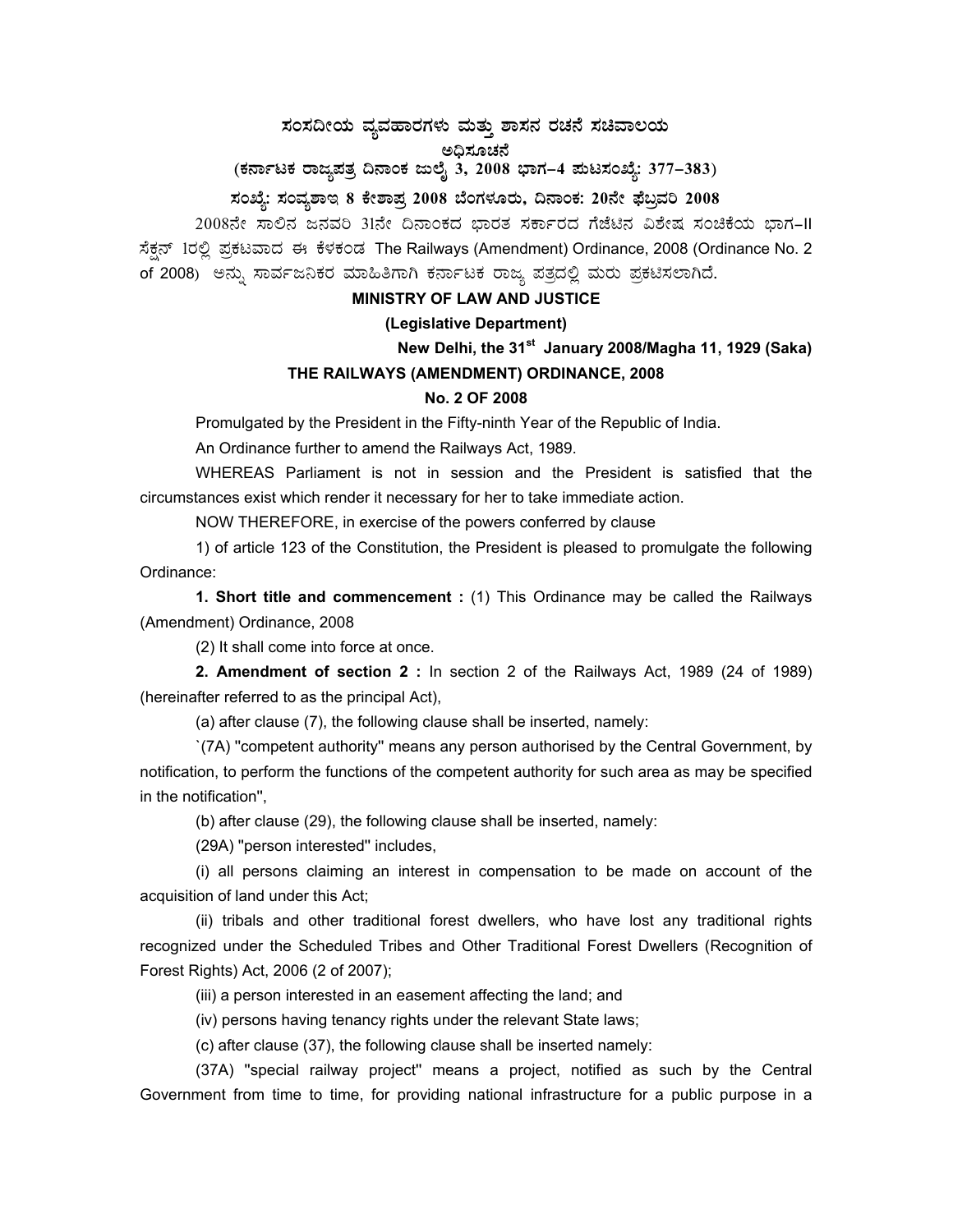# **¸ÀA¸À¢ÃAiÀÄ ªÀåªÀºÁgÀUÀ¼ÀÄ ªÀÄvÀÄÛ ±Á¸À£À gÀZÀ£É ¸ÀaªÁ®AiÀÄ**

ಅಧಿಸೂಚನೆ

(ಕರ್ನಾಟಕ ರಾಜ್ಯಪತ್ರ ದಿನಾಂಕ ಜುಲೈ 3, 2008 ಭಾಗ–4 **ಪುಟಸಂಖ್ಯೆ: 377–383**)

# **¸ÀASÉå: ¸ÀAªÀå±ÁE 8 PÉñÁ¥Àæ 2008 ¨ÉAUÀ¼ÀÆgÀÄ, ¢£ÁAPÀ: 20£Éà ¥sɧæªÀj 2008**

2008ನೇ ಸಾಲಿನ ಜನವರಿ 31ನೇ ದಿನಾಂಕದ ಭಾರತ ಸರ್ಕಾರದ ಗೆಜೆಟಿನ ವಿಶೇಷ ಸಂಚಿಕೆಯ ಭಾಗ–II ಸೆಕ್ಷನ್ 1ರಲ್ಲಿ ಪ್ರಕಟವಾದ ಈ ಕೆಳಕಂಡ The Railways (Amendment) Ordinance, 2008 (Ordinance No. 2 of 2008) ಅನ್ನು ಸಾರ್ವಜನಿಕರ ಮಾಹಿತಿಗಾಗಿ ಕರ್ನಾಟಕ ರಾಜ್ಯ ಪತ್ರದಲ್ಲಿ ಮರು ಪ್ರಕಟಿಸಲಾಗಿದೆ.

# **MINISTRY OF LAW AND JUSTICE**

## **(Legislative Department)**

**New Delhi, the 31st January 2008/Magha 11, 1929 (Saka)** 

#### **THE RAILWAYS (AMENDMENT) ORDINANCE, 2008**

#### **No. 2 OF 2008**

Promulgated by the President in the Fifty-ninth Year of the Republic of India.

An Ordinance further to amend the Railways Act, 1989.

 WHEREAS Parliament is not in session and the President is satisfied that the circumstances exist which render it necessary for her to take immediate action.

NOW THEREFORE, in exercise of the powers conferred by clause

 1) of article 123 of the Constitution, the President is pleased to promulgate the following Ordinance:

**1. Short title and commencement :** (1) This Ordinance may be called the Railways (Amendment) Ordinance, 2008

(2) It shall come into force at once.

**2. Amendment of section 2 :** In section 2 of the Railways Act, 1989 (24 of 1989) (hereinafter referred to as the principal Act),

(a) after clause (7), the following clause shall be inserted, namely:

 `(7A) ''competent authority'' means any person authorised by the Central Government, by notification, to perform the functions of the competent authority for such area as may be specified in the notification'',

(b) after clause (29), the following clause shall be inserted, namely:

(29A) ''person interested'' includes,

 (i) all persons claiming an interest in compensation to be made on account of the acquisition of land under this Act;

 (ii) tribals and other traditional forest dwellers, who have lost any traditional rights recognized under the Scheduled Tribes and Other Traditional Forest Dwellers (Recognition of Forest Rights) Act, 2006 (2 of 2007);

(iii) a person interested in an easement affecting the land; and

(iv) persons having tenancy rights under the relevant State laws;

(c) after clause (37), the following clause shall be inserted namely:

 (37A) ''special railway project'' means a project, notified as such by the Central Government from time to time, for providing national infrastructure for a public purpose in a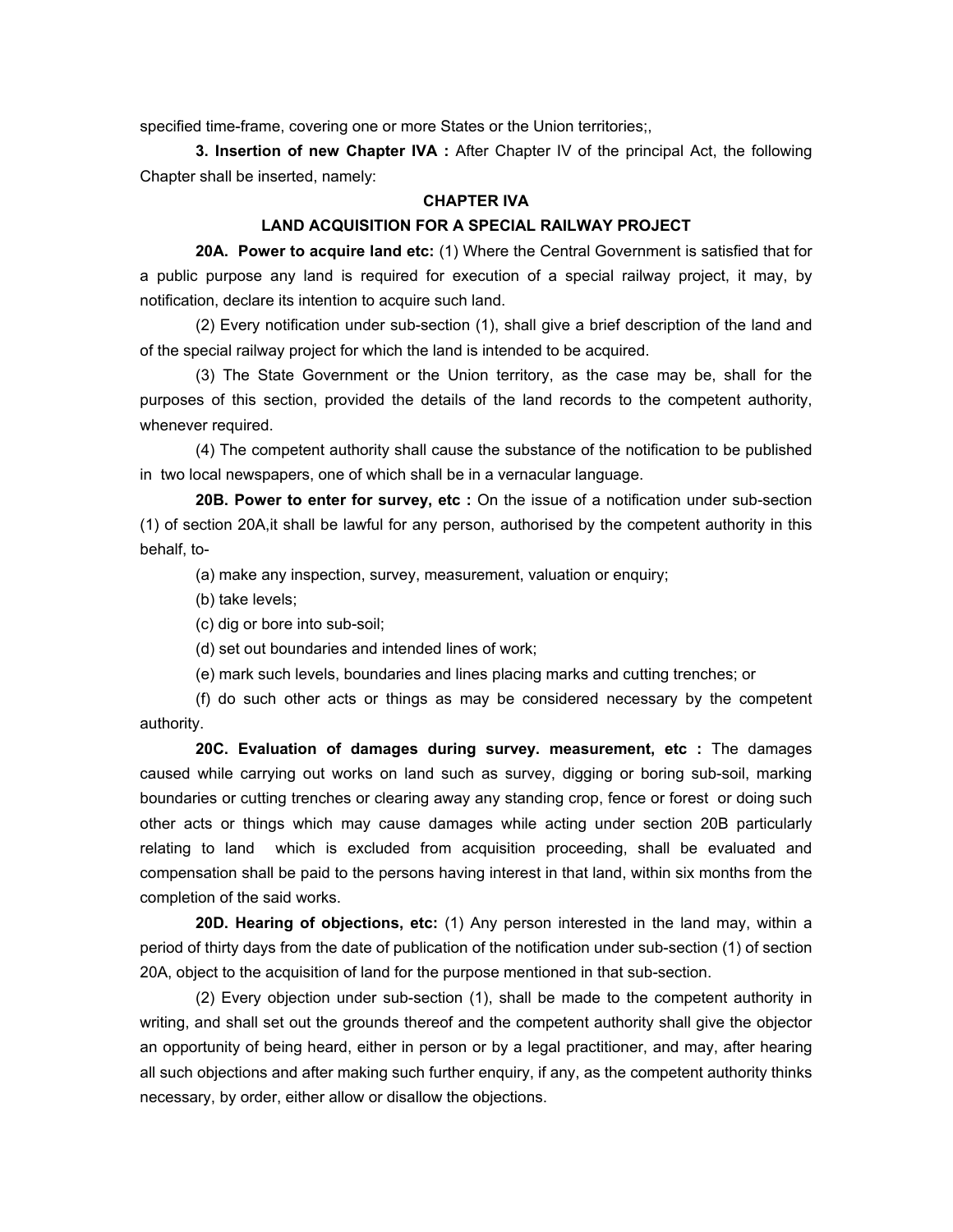specified time-frame, covering one or more States or the Union territories;,

**3. Insertion of new Chapter IVA :** After Chapter IV of the principal Act, the following Chapter shall be inserted, namely:

## **CHAPTER IVA**

#### **LAND ACQUISITION FOR A SPECIAL RAILWAY PROJECT**

 **20A. Power to acquire land etc:** (1) Where the Central Government is satisfied that for a public purpose any land is required for execution of a special railway project, it may, by notification, declare its intention to acquire such land.

 (2) Every notification under sub-section (1), shall give a brief description of the land and of the special railway project for which the land is intended to be acquired.

 (3) The State Government or the Union territory, as the case may be, shall for the purposes of this section, provided the details of the land records to the competent authority, whenever required.

 (4) The competent authority shall cause the substance of the notification to be published in two local newspapers, one of which shall be in a vernacular language.

**20B. Power to enter for survey, etc :** On the issue of a notification under sub-section (1) of section 20A,it shall be lawful for any person, authorised by the competent authority in this behalf, to-

(a) make any inspection, survey, measurement, valuation or enquiry;

(b) take levels;

(c) dig or bore into sub-soil;

(d) set out boundaries and intended lines of work;

(e) mark such levels, boundaries and lines placing marks and cutting trenches; or

 (f) do such other acts or things as may be considered necessary by the competent authority.

**20C. Evaluation of damages during survey. measurement, etc :** The damages caused while carrying out works on land such as survey, digging or boring sub-soil, marking boundaries or cutting trenches or clearing away any standing crop, fence or forest or doing such other acts or things which may cause damages while acting under section 20B particularly relating to land which is excluded from acquisition proceeding, shall be evaluated and compensation shall be paid to the persons having interest in that land, within six months from the completion of the said works.

**20D. Hearing of objections, etc:** (1) Any person interested in the land may, within a period of thirty days from the date of publication of the notification under sub-section (1) of section 20A, object to the acquisition of land for the purpose mentioned in that sub-section.

 (2) Every objection under sub-section (1), shall be made to the competent authority in writing, and shall set out the grounds thereof and the competent authority shall give the objector an opportunity of being heard, either in person or by a legal practitioner, and may, after hearing all such objections and after making such further enquiry, if any, as the competent authority thinks necessary, by order, either allow or disallow the objections.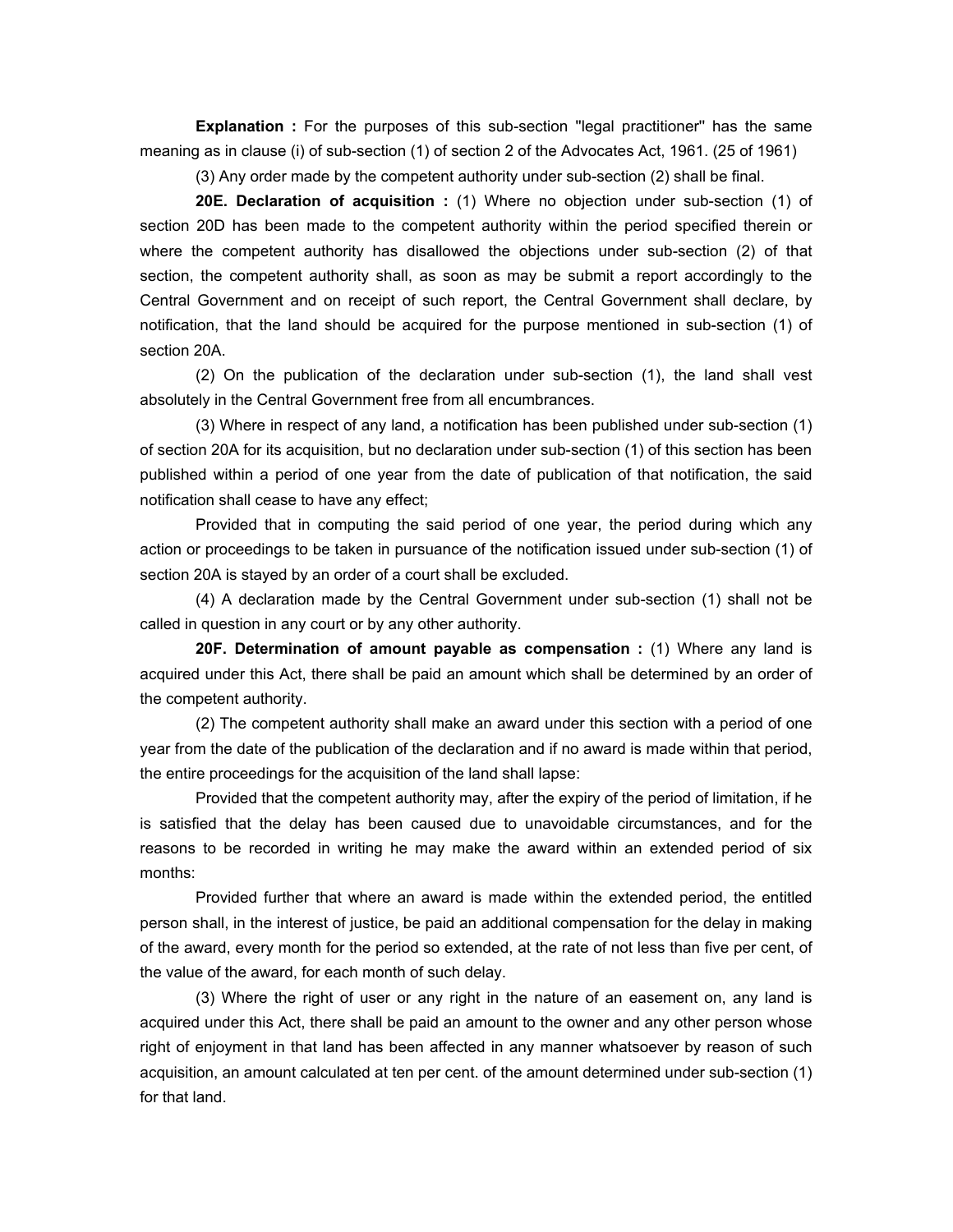**Explanation :** For the purposes of this sub-section "legal practitioner" has the same meaning as in clause (i) of sub-section (1) of section 2 of the Advocates Act, 1961. (25 of 1961)

(3) Any order made by the competent authority under sub-section (2) shall be final.

**20E. Declaration of acquisition :** (1) Where no objection under sub-section (1) of section 20D has been made to the competent authority within the period specified therein or where the competent authority has disallowed the objections under sub-section (2) of that section, the competent authority shall, as soon as may be submit a report accordingly to the Central Government and on receipt of such report, the Central Government shall declare, by notification, that the land should be acquired for the purpose mentioned in sub-section (1) of section 20A.

 (2) On the publication of the declaration under sub-section (1), the land shall vest absolutely in the Central Government free from all encumbrances.

 (3) Where in respect of any land, a notification has been published under sub-section (1) of section 20A for its acquisition, but no declaration under sub-section (1) of this section has been published within a period of one year from the date of publication of that notification, the said notification shall cease to have any effect;

 Provided that in computing the said period of one year, the period during which any action or proceedings to be taken in pursuance of the notification issued under sub-section (1) of section 20A is stayed by an order of a court shall be excluded.

 (4) A declaration made by the Central Government under sub-section (1) shall not be called in question in any court or by any other authority.

**20F. Determination of amount payable as compensation:** (1) Where any land is acquired under this Act, there shall be paid an amount which shall be determined by an order of the competent authority.

 (2) The competent authority shall make an award under this section with a period of one year from the date of the publication of the declaration and if no award is made within that period, the entire proceedings for the acquisition of the land shall lapse:

 Provided that the competent authority may, after the expiry of the period of limitation, if he is satisfied that the delay has been caused due to unavoidable circumstances, and for the reasons to be recorded in writing he may make the award within an extended period of six months:

 Provided further that where an award is made within the extended period, the entitled person shall, in the interest of justice, be paid an additional compensation for the delay in making of the award, every month for the period so extended, at the rate of not less than five per cent, of the value of the award, for each month of such delay.

 (3) Where the right of user or any right in the nature of an easement on, any land is acquired under this Act, there shall be paid an amount to the owner and any other person whose right of enjoyment in that land has been affected in any manner whatsoever by reason of such acquisition, an amount calculated at ten per cent. of the amount determined under sub-section (1) for that land.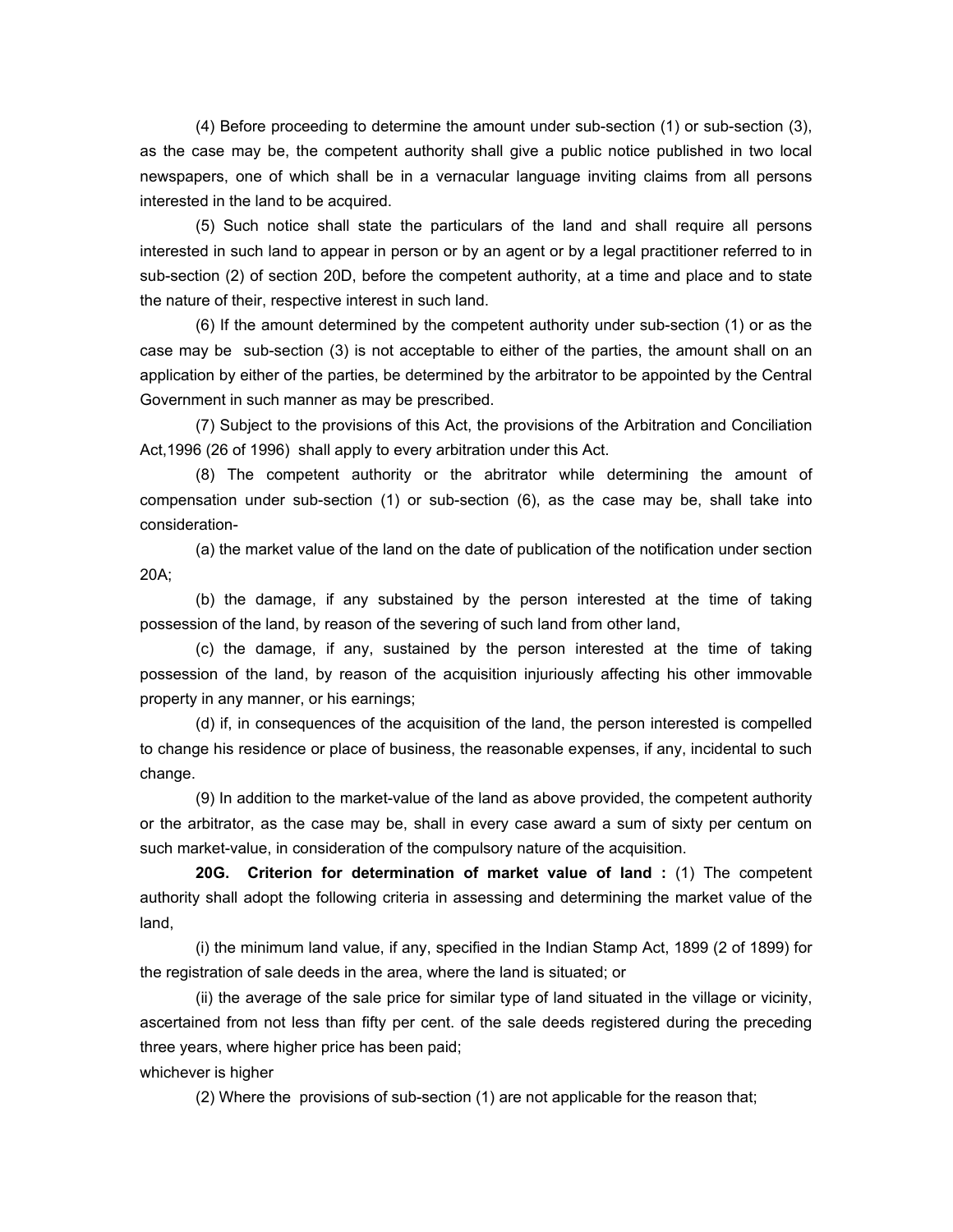(4) Before proceeding to determine the amount under sub-section (1) or sub-section (3), as the case may be, the competent authority shall give a public notice published in two local newspapers, one of which shall be in a vernacular language inviting claims from all persons interested in the land to be acquired.

 (5) Such notice shall state the particulars of the land and shall require all persons interested in such land to appear in person or by an agent or by a legal practitioner referred to in sub-section (2) of section 20D, before the competent authority, at a time and place and to state the nature of their, respective interest in such land.

 (6) If the amount determined by the competent authority under sub-section (1) or as the case may be sub-section (3) is not acceptable to either of the parties, the amount shall on an application by either of the parties, be determined by the arbitrator to be appointed by the Central Government in such manner as may be prescribed.

 (7) Subject to the provisions of this Act, the provisions of the Arbitration and Conciliation Act,1996 (26 of 1996) shall apply to every arbitration under this Act.

 (8) The competent authority or the abritrator while determining the amount of compensation under sub-section (1) or sub-section (6), as the case may be, shall take into consideration-

 (a) the market value of the land on the date of publication of the notification under section 20A;

 (b) the damage, if any substained by the person interested at the time of taking possession of the land, by reason of the severing of such land from other land,

 (c) the damage, if any, sustained by the person interested at the time of taking possession of the land, by reason of the acquisition injuriously affecting his other immovable property in any manner, or his earnings;

 (d) if, in consequences of the acquisition of the land, the person interested is compelled to change his residence or place of business, the reasonable expenses, if any, incidental to such change.

 (9) In addition to the market-value of the land as above provided, the competent authority or the arbitrator, as the case may be, shall in every case award a sum of sixty per centum on such market-value, in consideration of the compulsory nature of the acquisition.

**20G. Criterion for determination of market value of land :** (1) The competent authority shall adopt the following criteria in assessing and determining the market value of the land,

 (i) the minimum land value, if any, specified in the Indian Stamp Act, 1899 (2 of 1899) for the registration of sale deeds in the area, where the land is situated; or

 (ii) the average of the sale price for similar type of land situated in the village or vicinity, ascertained from not less than fifty per cent. of the sale deeds registered during the preceding three years, where higher price has been paid;

whichever is higher

(2) Where the provisions of sub-section (1) are not applicable for the reason that;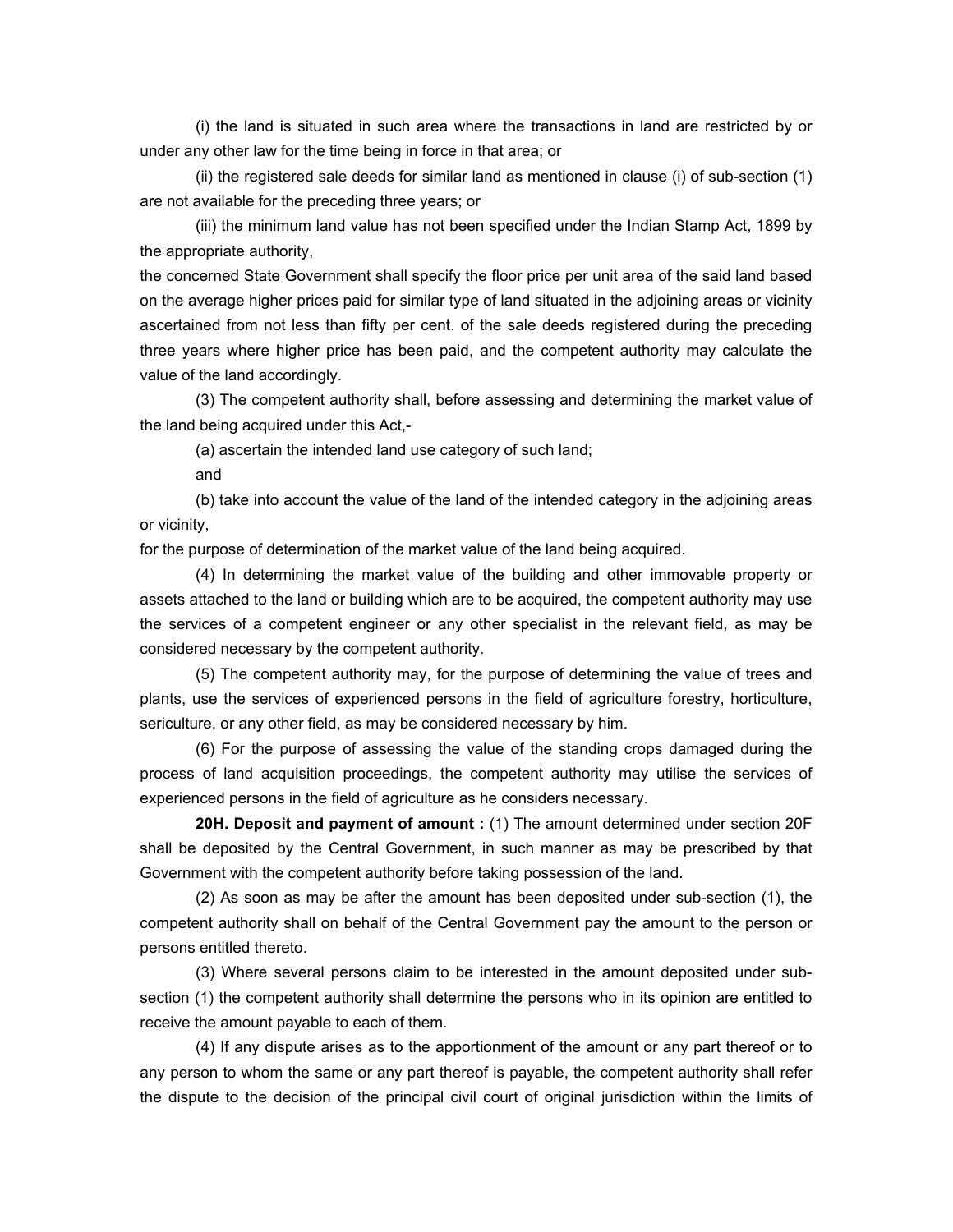(i) the land is situated in such area where the transactions in land are restricted by or under any other law for the time being in force in that area; or

 (ii) the registered sale deeds for similar land as mentioned in clause (i) of sub-section (1) are not available for the preceding three years; or

 (iii) the minimum land value has not been specified under the Indian Stamp Act, 1899 by the appropriate authority,

the concerned State Government shall specify the floor price per unit area of the said land based on the average higher prices paid for similar type of land situated in the adjoining areas or vicinity ascertained from not less than fifty per cent. of the sale deeds registered during the preceding three years where higher price has been paid, and the competent authority may calculate the value of the land accordingly.

 (3) The competent authority shall, before assessing and determining the market value of the land being acquired under this Act,-

(a) ascertain the intended land use category of such land;

and

 (b) take into account the value of the land of the intended category in the adjoining areas or vicinity,

for the purpose of determination of the market value of the land being acquired.

 (4) In determining the market value of the building and other immovable property or assets attached to the land or building which are to be acquired, the competent authority may use the services of a competent engineer or any other specialist in the relevant field, as may be considered necessary by the competent authority.

 (5) The competent authority may, for the purpose of determining the value of trees and plants, use the services of experienced persons in the field of agriculture forestry, horticulture, sericulture, or any other field, as may be considered necessary by him.

 (6) For the purpose of assessing the value of the standing crops damaged during the process of land acquisition proceedings, the competent authority may utilise the services of experienced persons in the field of agriculture as he considers necessary.

**20H. Deposit and payment of amount :** (1) The amount determined under section 20F shall be deposited by the Central Government, in such manner as may be prescribed by that Government with the competent authority before taking possession of the land.

 (2) As soon as may be after the amount has been deposited under sub-section (1), the competent authority shall on behalf of the Central Government pay the amount to the person or persons entitled thereto.

 (3) Where several persons claim to be interested in the amount deposited under subsection (1) the competent authority shall determine the persons who in its opinion are entitled to receive the amount payable to each of them.

 (4) If any dispute arises as to the apportionment of the amount or any part thereof or to any person to whom the same or any part thereof is payable, the competent authority shall refer the dispute to the decision of the principal civil court of original jurisdiction within the limits of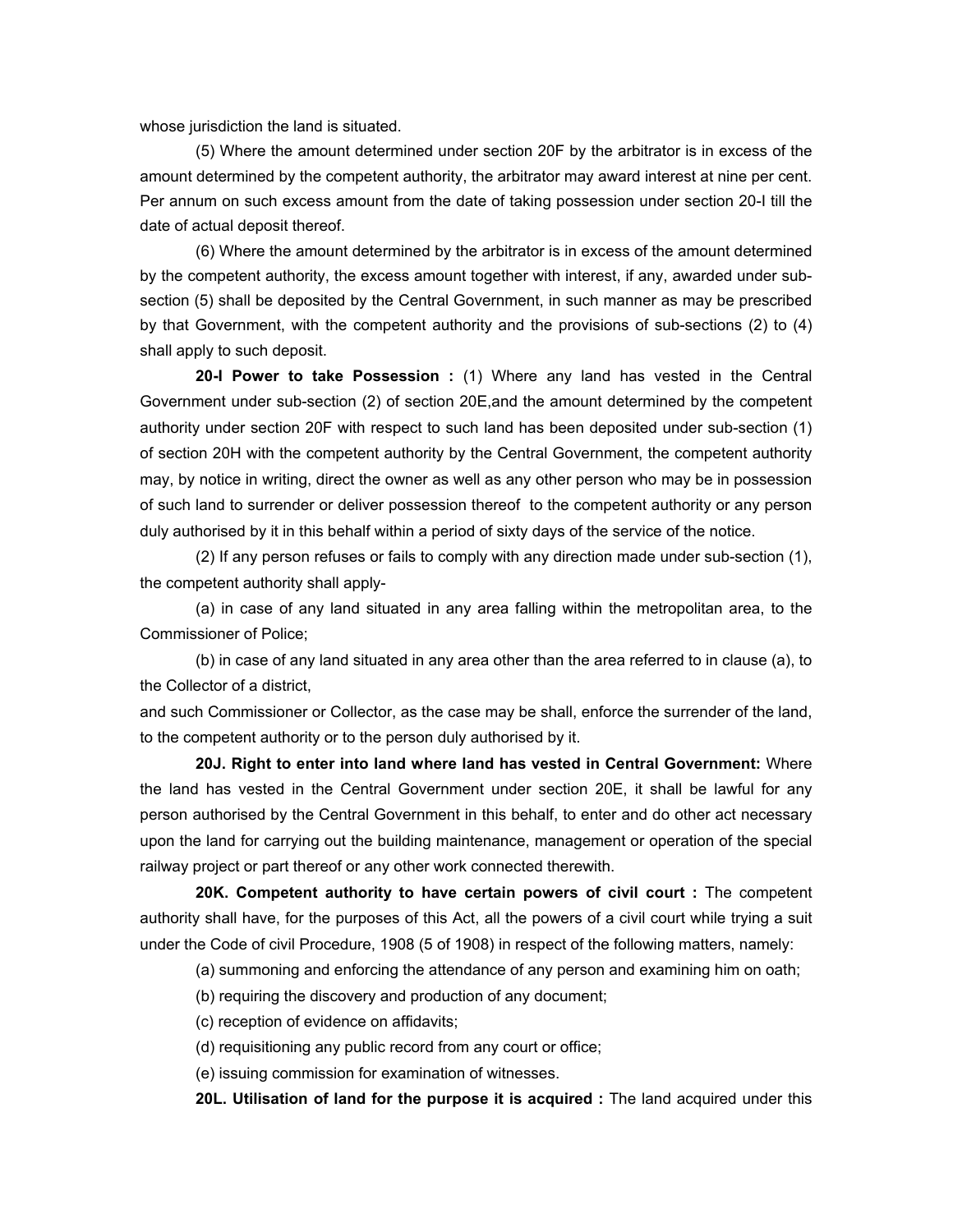whose jurisdiction the land is situated.

 (5) Where the amount determined under section 20F by the arbitrator is in excess of the amount determined by the competent authority, the arbitrator may award interest at nine per cent. Per annum on such excess amount from the date of taking possession under section 20-I till the date of actual deposit thereof.

 (6) Where the amount determined by the arbitrator is in excess of the amount determined by the competent authority, the excess amount together with interest, if any, awarded under subsection (5) shall be deposited by the Central Government, in such manner as may be prescribed by that Government, with the competent authority and the provisions of sub-sections (2) to (4) shall apply to such deposit.

**20-I Power to take Possession :** (1) Where any land has vested in the Central Government under sub-section (2) of section 20E,and the amount determined by the competent authority under section 20F with respect to such land has been deposited under sub-section (1) of section 20H with the competent authority by the Central Government, the competent authority may, by notice in writing, direct the owner as well as any other person who may be in possession of such land to surrender or deliver possession thereof to the competent authority or any person duly authorised by it in this behalf within a period of sixty days of the service of the notice.

 (2) If any person refuses or fails to comply with any direction made under sub-section (1), the competent authority shall apply-

 (a) in case of any land situated in any area falling within the metropolitan area, to the Commissioner of Police;

 (b) in case of any land situated in any area other than the area referred to in clause (a), to the Collector of a district,

and such Commissioner or Collector, as the case may be shall, enforce the surrender of the land, to the competent authority or to the person duly authorised by it.

**20J. Right to enter into land where land has vested in Central Government:** Where the land has vested in the Central Government under section 20E, it shall be lawful for any person authorised by the Central Government in this behalf, to enter and do other act necessary upon the land for carrying out the building maintenance, management or operation of the special railway project or part thereof or any other work connected therewith.

**20K. Competent authority to have certain powers of civil court :** The competent authority shall have, for the purposes of this Act, all the powers of a civil court while trying a suit under the Code of civil Procedure, 1908 (5 of 1908) in respect of the following matters, namely:

(a) summoning and enforcing the attendance of any person and examining him on oath;

(b) requiring the discovery and production of any document;

(c) reception of evidence on affidavits;

(d) requisitioning any public record from any court or office;

(e) issuing commission for examination of witnesses.

**20L. Utilisation of land for the purpose it is acquired :** The land acquired under this